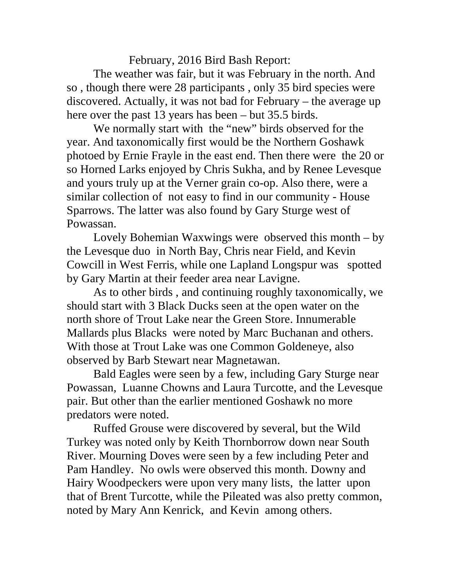February, 2016 Bird Bash Report:

The weather was fair, but it was February in the north. And so , though there were 28 participants , only 35 bird species were discovered. Actually, it was not bad for February – the average up here over the past 13 years has been – but 35.5 birds.

We normally start with the "new" birds observed for the year. And taxonomically first would be the Northern Goshawk photoed by Ernie Frayle in the east end. Then there were the 20 or so Horned Larks enjoyed by Chris Sukha, and by Renee Levesque and yours truly up at the Verner grain co-op. Also there, were a similar collection of not easy to find in our community - House Sparrows. The latter was also found by Gary Sturge west of Powassan.

Lovely Bohemian Waxwings were observed this month – by the Levesque duo in North Bay, Chris near Field, and Kevin Cowcill in West Ferris, while one Lapland Longspur was spotted by Gary Martin at their feeder area near Lavigne.

As to other birds , and continuing roughly taxonomically, we should start with 3 Black Ducks seen at the open water on the north shore of Trout Lake near the Green Store. Innumerable Mallards plus Blacks were noted by Marc Buchanan and others. With those at Trout Lake was one Common Goldeneye, also observed by Barb Stewart near Magnetawan.

Bald Eagles were seen by a few, including Gary Sturge near Powassan, Luanne Chowns and Laura Turcotte, and the Levesque pair. But other than the earlier mentioned Goshawk no more predators were noted.

Ruffed Grouse were discovered by several, but the Wild Turkey was noted only by Keith Thornborrow down near South River. Mourning Doves were seen by a few including Peter and Pam Handley. No owls were observed this month. Downy and Hairy Woodpeckers were upon very many lists, the latter upon that of Brent Turcotte, while the Pileated was also pretty common, noted by Mary Ann Kenrick, and Kevin among others.